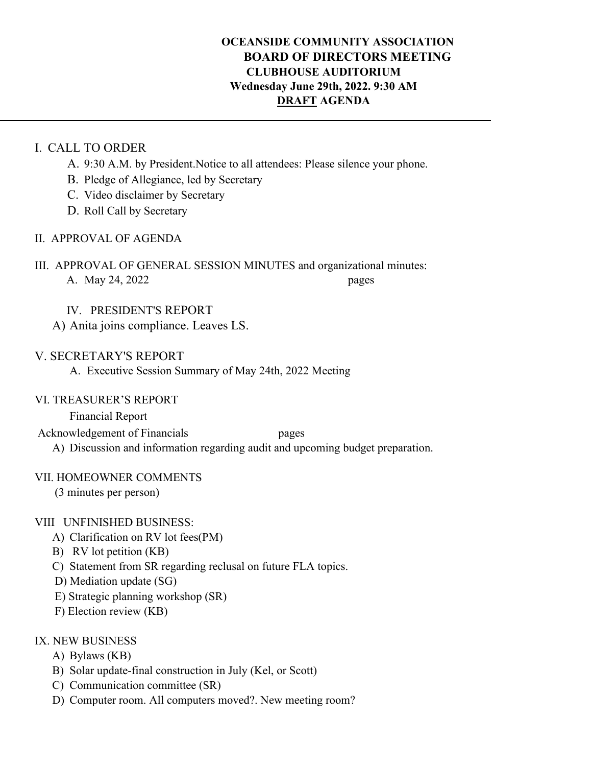## **OCEANSIDE COMMUNITY ASSOCIATION BOARD OF DIRECTORS MEETING CLUBHOUSE AUDITORIUM Wednesday June 29th, 2022. 9:30 AM DRAFT AGENDA**

### I. CALL TO ORDER

- A. 9:30 A.M. by President.Notice to all attendees: Please silence your phone.
- B. Pledge of Allegiance, led by Secretary
- C. Video disclaimer by Secretary
- D. Roll Call by Secretary
- II. APPROVAL OF AGENDA
- III. APPROVAL OF GENERAL SESSION MINUTES and organizational minutes: A. May 24, 2022 pages

IV. PRESIDENT'S REPORT

A) Anita joins compliance. Leaves LS.

## V. SECRETARY'S REPORT

A. Executive Session Summary of May 24th, 2022 Meeting

### VI. TREASURER'S REPORT

Financial Report

Acknowledgement of Financials pages

A) Discussion and information regarding audit and upcoming budget preparation.

## VII. HOMEOWNER COMMENTS

(3 minutes per person)

## VIII UNFINISHED BUSINESS:

- A) Clarification on RV lot fees(PM)
- B) RV lot petition (KB)
- C) Statement from SR regarding reclusal on future FLA topics.
- D) Mediation update (SG)
- E) Strategic planning workshop (SR)
- F) Election review (KB)

## IX. NEW BUSINESS

- A) Bylaws (KB)
- B) Solar update-final construction in July (Kel, or Scott)
- C) Communication committee (SR)
- D) Computer room. All computers moved?. New meeting room?